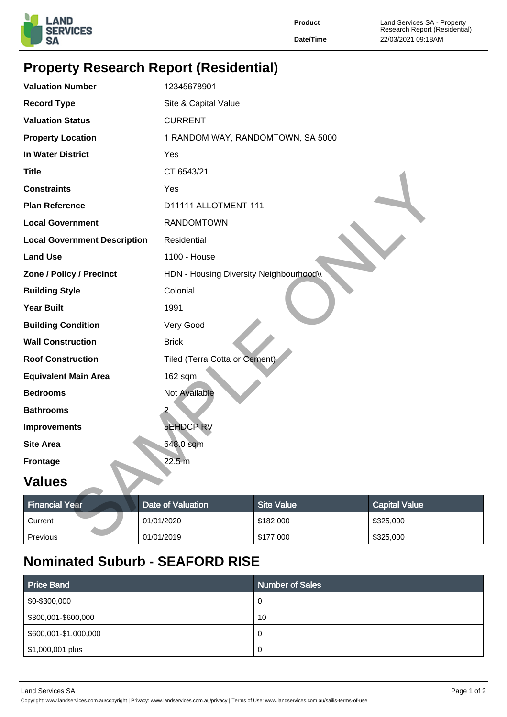

**Product** Land Services SA - Property Research Report (Residential) **Date/Time** 22/03/2021 09:18AM

## **Property Research Report (Residential)**

| <b>Valuation Number</b>             | 12345678901                             |                                   |                      |  |  |  |
|-------------------------------------|-----------------------------------------|-----------------------------------|----------------------|--|--|--|
| <b>Record Type</b>                  | Site & Capital Value                    |                                   |                      |  |  |  |
| <b>Valuation Status</b>             | <b>CURRENT</b>                          |                                   |                      |  |  |  |
| <b>Property Location</b>            |                                         | 1 RANDOM WAY, RANDOMTOWN, SA 5000 |                      |  |  |  |
| <b>In Water District</b>            | Yes                                     |                                   |                      |  |  |  |
| <b>Title</b>                        | CT 6543/21                              |                                   |                      |  |  |  |
| <b>Constraints</b>                  | Yes                                     |                                   |                      |  |  |  |
| <b>Plan Reference</b>               |                                         | D11111 ALLOTMENT 111              |                      |  |  |  |
| <b>Local Government</b>             | <b>RANDOMTOWN</b>                       |                                   |                      |  |  |  |
| <b>Local Government Description</b> | Residential                             |                                   |                      |  |  |  |
| <b>Land Use</b>                     | 1100 - House                            |                                   |                      |  |  |  |
| Zone / Policy / Precinct            | HDN - Housing Diversity Neighbourhood\\ |                                   |                      |  |  |  |
| <b>Building Style</b>               | Colonial                                |                                   |                      |  |  |  |
| <b>Year Built</b>                   | 1991                                    |                                   |                      |  |  |  |
| <b>Building Condition</b>           | Very Good                               |                                   |                      |  |  |  |
| <b>Wall Construction</b>            | <b>Brick</b>                            |                                   |                      |  |  |  |
| <b>Roof Construction</b>            |                                         | Tiled (Terra Cotta or Cement)     |                      |  |  |  |
| <b>Equivalent Main Area</b>         | 162 sqm                                 |                                   |                      |  |  |  |
| <b>Bedrooms</b>                     | <b>Not Available</b>                    |                                   |                      |  |  |  |
| <b>Bathrooms</b>                    |                                         |                                   |                      |  |  |  |
| <b>Improvements</b>                 | <b>5EHDCP RV</b>                        |                                   |                      |  |  |  |
| <b>Site Area</b>                    | 648.0 sqm                               |                                   |                      |  |  |  |
| <b>Frontage</b>                     | 22.5 m                                  |                                   |                      |  |  |  |
| <b>Values</b>                       |                                         |                                   |                      |  |  |  |
| <b>Financial Year</b>               | <b>Date of Valuation</b>                | <b>Site Value</b>                 | <b>Capital Value</b> |  |  |  |
| Current                             | 01/01/2020                              | \$182,000                         | \$325,000            |  |  |  |
| Previous                            | 01/01/2019                              | \$177,000                         | \$325,000            |  |  |  |

## **Values**

| <b>Financial Year</b> | Date of Valuation | <b>Site Value</b> | <b>Capital Value</b> |  |
|-----------------------|-------------------|-------------------|----------------------|--|
| Current               | 01/01/2020        | \$182,000         | \$325,000            |  |
| Previous              | 01/01/2019        | \$177,000         | \$325,000            |  |

## **Nominated Suburb - SEAFORD RISE**

| <b>Price Band</b>     | <b>Number of Sales</b> |
|-----------------------|------------------------|
| \$0-\$300,000         | 0                      |
| \$300,001-\$600,000   | 10                     |
| \$600,001-\$1,000,000 | 0                      |
| \$1,000,001 plus      | 0                      |

Land Services SA Page 1 of 2